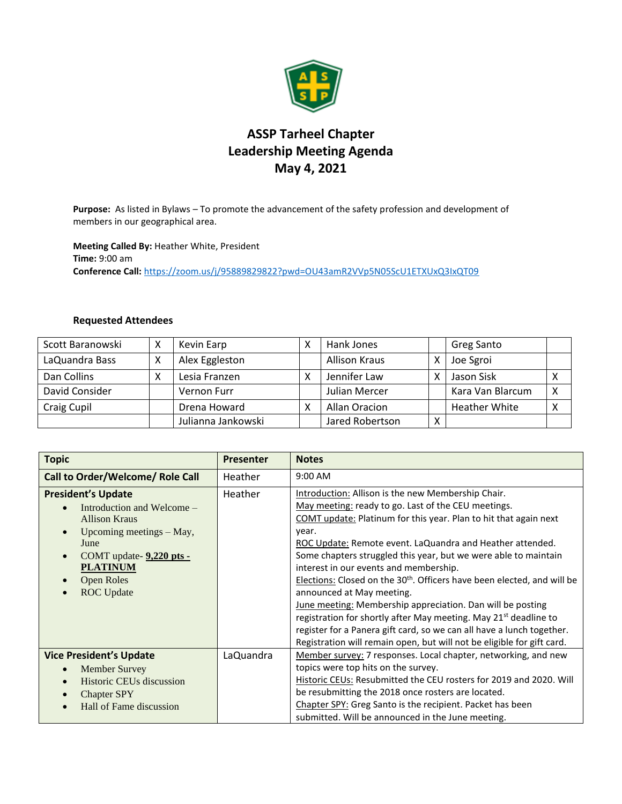

## **ASSP Tarheel Chapter Leadership Meeting Agenda May 4, 2021**

**Purpose:** As listed in Bylaws – To promote the advancement of the safety profession and development of members in our geographical area.

**Meeting Called By:** Heather White, President **Time:** 9:00 am **Conference Call:** <https://zoom.us/j/95889829822?pwd=OU43amR2VVp5N05ScU1ETXUxQ3IxQT09>

## **Requested Attendees**

| Scott Baranowski | Χ | Kevin Earp         |   | Hank Jones           |   | <b>Greg Santo</b>    |   |
|------------------|---|--------------------|---|----------------------|---|----------------------|---|
| LaQuandra Bass   | х | Alex Eggleston     |   | <b>Allison Kraus</b> |   | Joe Sgroi            |   |
| Dan Collins      | Χ | Lesia Franzen      | χ | Jennifer Law         |   | Jason Sisk           | Χ |
| David Consider   |   | Vernon Furr        |   | Julian Mercer        |   | Kara Van Blarcum     | X |
| Craig Cupil      |   | Drena Howard       | v | Allan Oracion        |   | <b>Heather White</b> | х |
|                  |   | Julianna Jankowski |   | Jared Robertson      | x |                      |   |

| <b>Topic</b>                                                                                                                                                                                                                                 | <b>Presenter</b> | <b>Notes</b>                                                                                                                                                                                                                                                                                                                                                                                                                                                                                                                                                                                                                                                                                                                                                                          |
|----------------------------------------------------------------------------------------------------------------------------------------------------------------------------------------------------------------------------------------------|------------------|---------------------------------------------------------------------------------------------------------------------------------------------------------------------------------------------------------------------------------------------------------------------------------------------------------------------------------------------------------------------------------------------------------------------------------------------------------------------------------------------------------------------------------------------------------------------------------------------------------------------------------------------------------------------------------------------------------------------------------------------------------------------------------------|
| Call to Order/Welcome/ Role Call                                                                                                                                                                                                             | Heather          | $9:00$ AM                                                                                                                                                                                                                                                                                                                                                                                                                                                                                                                                                                                                                                                                                                                                                                             |
| <b>President's Update</b><br>Introduction and Welcome –<br>$\bullet$<br><b>Allison Kraus</b><br>Upcoming meetings - May,<br>$\bullet$<br>June<br>COMT update- 9,220 pts -<br>$\bullet$<br><b>PLATINUM</b><br>Open Roles<br><b>ROC</b> Update | Heather          | Introduction: Allison is the new Membership Chair.<br>May meeting: ready to go. Last of the CEU meetings.<br>COMT update: Platinum for this year. Plan to hit that again next<br>year.<br>ROC Update: Remote event. LaQuandra and Heather attended.<br>Some chapters struggled this year, but we were able to maintain<br>interest in our events and membership.<br>Elections: Closed on the 30 <sup>th</sup> . Officers have been elected, and will be<br>announced at May meeting.<br>June meeting: Membership appreciation. Dan will be posting<br>registration for shortly after May meeting. May 21 <sup>st</sup> deadline to<br>register for a Panera gift card, so we can all have a lunch together.<br>Registration will remain open, but will not be eligible for gift card. |
| <b>Vice President's Update</b><br><b>Member Survey</b><br>$\bullet$<br><b>Historic CEUs discussion</b><br>$\bullet$<br><b>Chapter SPY</b><br>Hall of Fame discussion                                                                         | LaQuandra        | Member survey: 7 responses. Local chapter, networking, and new<br>topics were top hits on the survey.<br>Historic CEUs: Resubmitted the CEU rosters for 2019 and 2020. Will<br>be resubmitting the 2018 once rosters are located.<br>Chapter SPY: Greg Santo is the recipient. Packet has been<br>submitted. Will be announced in the June meeting.                                                                                                                                                                                                                                                                                                                                                                                                                                   |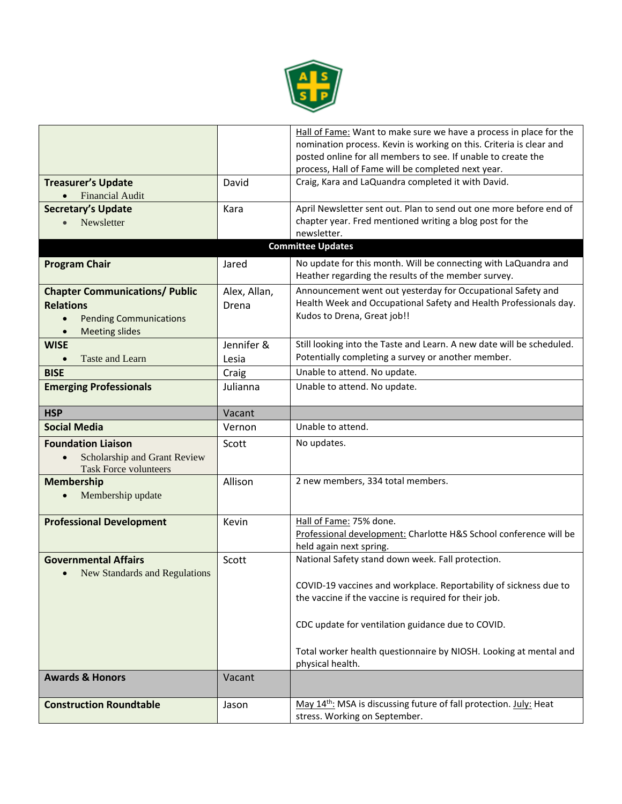

|                                            |              | Hall of Fame: Want to make sure we have a process in place for the                                                     |
|--------------------------------------------|--------------|------------------------------------------------------------------------------------------------------------------------|
|                                            |              | nomination process. Kevin is working on this. Criteria is clear and                                                    |
|                                            |              | posted online for all members to see. If unable to create the                                                          |
|                                            |              | process, Hall of Fame will be completed next year.                                                                     |
| <b>Treasurer's Update</b>                  | David        | Craig, Kara and LaQuandra completed it with David.                                                                     |
| <b>Financial Audit</b>                     |              |                                                                                                                        |
| <b>Secretary's Update</b>                  | Kara         | April Newsletter sent out. Plan to send out one more before end of                                                     |
| Newsletter                                 |              | chapter year. Fred mentioned writing a blog post for the                                                               |
|                                            |              | newsletter.                                                                                                            |
|                                            |              | <b>Committee Updates</b>                                                                                               |
|                                            |              |                                                                                                                        |
| <b>Program Chair</b>                       | Jared        | No update for this month. Will be connecting with LaQuandra and<br>Heather regarding the results of the member survey. |
| <b>Chapter Communications/ Public</b>      | Alex, Allan, | Announcement went out yesterday for Occupational Safety and                                                            |
| <b>Relations</b>                           | Drena        | Health Week and Occupational Safety and Health Professionals day.                                                      |
| <b>Pending Communications</b><br>$\bullet$ |              | Kudos to Drena, Great job!!                                                                                            |
| <b>Meeting slides</b>                      |              |                                                                                                                        |
| <b>WISE</b>                                | Jennifer &   | Still looking into the Taste and Learn. A new date will be scheduled.                                                  |
| Taste and Learn                            | Lesia        | Potentially completing a survey or another member.                                                                     |
| <b>BISE</b>                                | Craig        | Unable to attend. No update.                                                                                           |
|                                            |              |                                                                                                                        |
| <b>Emerging Professionals</b>              | Julianna     | Unable to attend. No update.                                                                                           |
| <b>HSP</b>                                 | Vacant       |                                                                                                                        |
| <b>Social Media</b>                        | Vernon       | Unable to attend.                                                                                                      |
| <b>Foundation Liaison</b>                  | Scott        | No updates.                                                                                                            |
| Scholarship and Grant Review               |              |                                                                                                                        |
| <b>Task Force volunteers</b>               |              |                                                                                                                        |
| <b>Membership</b>                          | Allison      | 2 new members, 334 total members.                                                                                      |
| Membership update                          |              |                                                                                                                        |
|                                            |              |                                                                                                                        |
| <b>Professional Development</b>            | Kevin        | Hall of Fame: 75% done.                                                                                                |
|                                            |              | Professional development: Charlotte H&S School conference will be                                                      |
|                                            |              | held again next spring.                                                                                                |
| <b>Governmental Affairs</b>                | Scott        | National Safety stand down week. Fall protection.                                                                      |
| New Standards and Regulations<br>$\bullet$ |              |                                                                                                                        |
|                                            |              | COVID-19 vaccines and workplace. Reportability of sickness due to                                                      |
|                                            |              | the vaccine if the vaccine is required for their job.                                                                  |
|                                            |              |                                                                                                                        |
|                                            |              |                                                                                                                        |
|                                            |              | CDC update for ventilation guidance due to COVID.                                                                      |
|                                            |              |                                                                                                                        |
|                                            |              | Total worker health questionnaire by NIOSH. Looking at mental and                                                      |
|                                            |              | physical health.                                                                                                       |
| <b>Awards &amp; Honors</b>                 | Vacant       |                                                                                                                        |
|                                            |              |                                                                                                                        |
| <b>Construction Roundtable</b>             | Jason        | May 14 <sup>th</sup> : MSA is discussing future of fall protection. July: Heat                                         |
|                                            |              | stress. Working on September.                                                                                          |